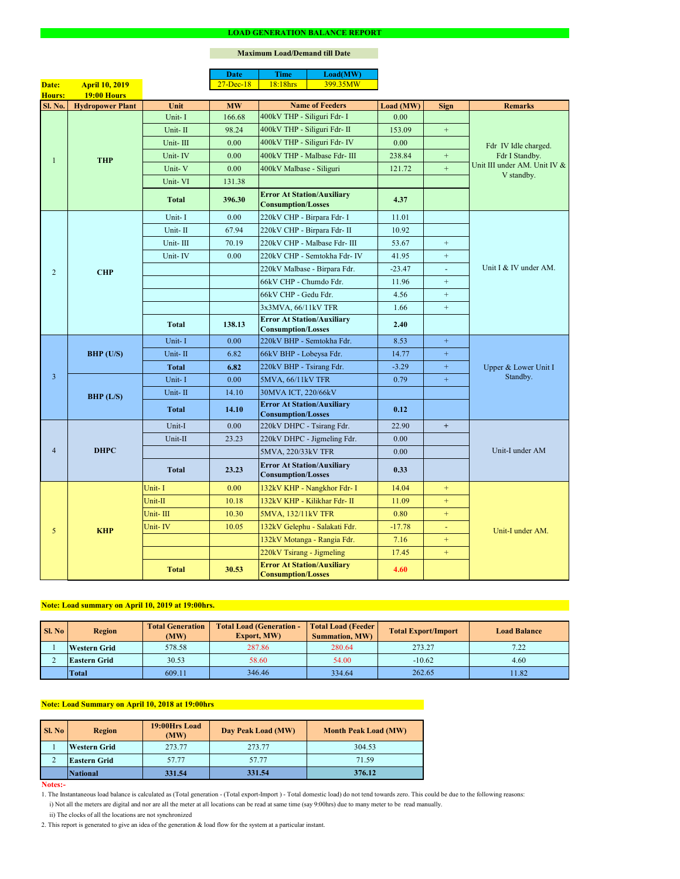#### **Notes:-**

### **Maximum Load/Demand till Date**

- 1. The Instantaneous load balance is calculated as (Total generation (Total export-Import ) Total domestic load) do not tend towards zero. This could be due to the following reasons:
	- i) Not all the meters are digital and nor are all the meter at all locations can be read at same time (say 9:00hrs) due to many meter to be read manually.
	- ii) The clocks of all the locations are not synchronized
- 2. This report is generated to give an idea of the generation & load flow for the system at a particular instant.

| Sl. No | <b>Region</b>       | <b>Total Generation</b><br>(MW) | <b>Total Load (Generation -</b><br><b>Export, MW)</b> | <b>Total Load (Feeder)</b><br><b>Summation, MW)</b> | <b>Total Export/Import</b> | <b>Load Balance</b> |
|--------|---------------------|---------------------------------|-------------------------------------------------------|-----------------------------------------------------|----------------------------|---------------------|
|        | <b>Western Grid</b> | 578.58                          | 287.86                                                | 280.64                                              | 273.27                     | 7.22                |
|        | <b>Eastern Grid</b> | 30.53                           | 58.60                                                 | 54.00                                               | $-10.62$                   | 4.60                |
|        | <b>Total</b>        | 609.11                          | 346.46                                                | 334.64                                              | 262.65                     | 11.82               |

|                |                         |              | <b>Date</b>   | <b>Time</b>                                                    | Load(MW)                      |           |                  |                                                                                      |  |
|----------------|-------------------------|--------------|---------------|----------------------------------------------------------------|-------------------------------|-----------|------------------|--------------------------------------------------------------------------------------|--|
| Date:          | <b>April 10, 2019</b>   |              | $27 - Dec-18$ | 18:18hrs                                                       | 399.35MW                      |           |                  |                                                                                      |  |
| <b>Hours:</b>  | <b>19:00 Hours</b>      |              |               |                                                                |                               |           |                  |                                                                                      |  |
| <b>Sl. No.</b> | <b>Hydropower Plant</b> | Unit         | <b>MW</b>     |                                                                | <b>Name of Feeders</b>        | Load (MW) | <b>Sign</b>      | <b>Remarks</b>                                                                       |  |
|                |                         | Unit-I       | 166.68        | 400kV THP - Siliguri Fdr- I                                    |                               | 0.00      |                  |                                                                                      |  |
|                |                         | Unit-II      | 98.24         | 400kV THP - Siliguri Fdr- II                                   |                               | 153.09    | $+$              |                                                                                      |  |
|                |                         | Unit-III     | 0.00          |                                                                | 400kV THP - Siliguri Fdr- IV  | 0.00      |                  | Fdr IV Idle charged.<br>Fdr I Standby.<br>Unit III under AM. Unit IV &<br>V standby. |  |
|                | <b>THP</b>              | Unit-IV      | 0.00          |                                                                | 400kV THP - Malbase Fdr- III  | 238.84    | $+$              |                                                                                      |  |
|                |                         | Unit-V       | 0.00          | 400kV Malbase - Siliguri                                       |                               | 121.72    | $+$              |                                                                                      |  |
|                |                         | Unit-VI      | 131.38        |                                                                |                               |           |                  |                                                                                      |  |
|                |                         | <b>Total</b> | 396.30        | <b>Error At Station/Auxiliary</b><br><b>Consumption/Losses</b> |                               | 4.37      |                  |                                                                                      |  |
|                |                         | Unit-I       | 0.00          | 220kV CHP - Birpara Fdr- I                                     |                               | 11.01     |                  |                                                                                      |  |
|                |                         | Unit-II      | 67.94         | 220kV CHP - Birpara Fdr- II                                    |                               | 10.92     |                  |                                                                                      |  |
|                |                         | Unit-III     | 70.19         |                                                                | 220kV CHP - Malbase Fdr- III  | 53.67     | $+$              |                                                                                      |  |
|                |                         | Unit-IV      | 0.00          |                                                                | 220kV CHP - Semtokha Fdr- IV  | 41.95     | $\boldsymbol{+}$ |                                                                                      |  |
| $\overline{2}$ | <b>CHP</b>              |              |               |                                                                | 220kV Malbase - Birpara Fdr.  | $-23.47$  | $\omega$         | Unit I & IV under AM.                                                                |  |
|                |                         |              |               | 66kV CHP - Chumdo Fdr.                                         |                               | 11.96     | $+$              |                                                                                      |  |
|                |                         |              |               | 66kV CHP - Gedu Fdr.                                           |                               | 4.56      | $+$              |                                                                                      |  |
|                |                         |              |               | 3x3MVA, 66/11kV TFR                                            |                               | 1.66      | $+$              |                                                                                      |  |
|                |                         | <b>Total</b> | 138.13        | <b>Error At Station/Auxiliary</b><br><b>Consumption/Losses</b> |                               | 2.40      |                  |                                                                                      |  |
|                | BHP (U/S)               | Unit-I       | 0.00          | 220kV BHP - Semtokha Fdr.                                      |                               | 8.53      | $+$              |                                                                                      |  |
|                |                         | Unit-II      | 6.82          | 66kV BHP - Lobeysa Fdr.                                        |                               | 14.77     | $\pm$            |                                                                                      |  |
|                |                         | <b>Total</b> | 6.82          | 220kV BHP - Tsirang Fdr.                                       |                               | $-3.29$   | $+$              | Upper & Lower Unit I                                                                 |  |
| $\overline{3}$ |                         | Unit-I       | 0.00          | 5MVA, 66/11kV TFR                                              |                               | 0.79      | $+$              | Standby.                                                                             |  |
|                | BHP (L/S)               | Unit-II      | 14.10         | 30MVA ICT, 220/66kV                                            |                               |           |                  |                                                                                      |  |
|                |                         | <b>Total</b> | 14.10         | <b>Error At Station/Auxiliary</b><br><b>Consumption/Losses</b> |                               | 0.12      |                  |                                                                                      |  |
|                | <b>DHPC</b>             | Unit-I       | 0.00          | 220kV DHPC - Tsirang Fdr.                                      |                               | 22.90     | $+$              |                                                                                      |  |
|                |                         | Unit-II      | 23.23         |                                                                | 220kV DHPC - Jigmeling Fdr.   | 0.00      |                  |                                                                                      |  |
| $\overline{4}$ |                         |              |               | 5MVA, 220/33kV TFR                                             |                               | 0.00      |                  | Unit-I under AM                                                                      |  |
|                |                         | <b>Total</b> | 23.23         | <b>Error At Station/Auxiliary</b><br><b>Consumption/Losses</b> |                               | 0.33      |                  |                                                                                      |  |
|                |                         | Unit-I       | 0.00          |                                                                | 132kV KHP - Nangkhor Fdr- I   | 14.04     | $+$              |                                                                                      |  |
|                |                         | Unit-II      | 10.18         |                                                                | 132kV KHP - Kilikhar Fdr- II  | 11.09     | $+$              |                                                                                      |  |
|                |                         | Unit-III     | 10.30         | 5MVA, 132/11kV TFR                                             |                               | 0.80      | $+$              |                                                                                      |  |
| 5              | <b>KHP</b>              | Unit-IV      | 10.05         |                                                                | 132kV Gelephu - Salakati Fdr. | $-17.78$  | $\equiv$         | Unit-I under AM.                                                                     |  |
|                |                         |              |               |                                                                | 132kV Motanga - Rangia Fdr.   | 7.16      | $+$              |                                                                                      |  |
|                |                         |              |               | 220kV Tsirang - Jigmeling                                      |                               | 17.45     | $+$              |                                                                                      |  |
|                |                         | <b>Total</b> | 30.53         | <b>Error At Station/Auxiliary</b><br><b>Consumption/Losses</b> |                               | 4.60      |                  |                                                                                      |  |

| <b>Sl. No</b> | 19:00Hrs Load<br><b>Region</b><br>(MW) |        | Day Peak Load (MW) | <b>Month Peak Load (MW)</b> |
|---------------|----------------------------------------|--------|--------------------|-----------------------------|
|               | <b>Western Grid</b>                    | 273.77 | 273.77             | 304.53                      |
|               | <b>Eastern Grid</b>                    | 57.77  | 57.77              | 71.59                       |
|               | National                               | 331.54 | 331.54             | 376.12                      |

# **Note: Load summary on April 10, 2019 at 19:00hrs.**

# **Note: Load Summary on April 10, 2018 at 19:00hrs**

#### **LOAD GENERATION BALANCE REPORT**